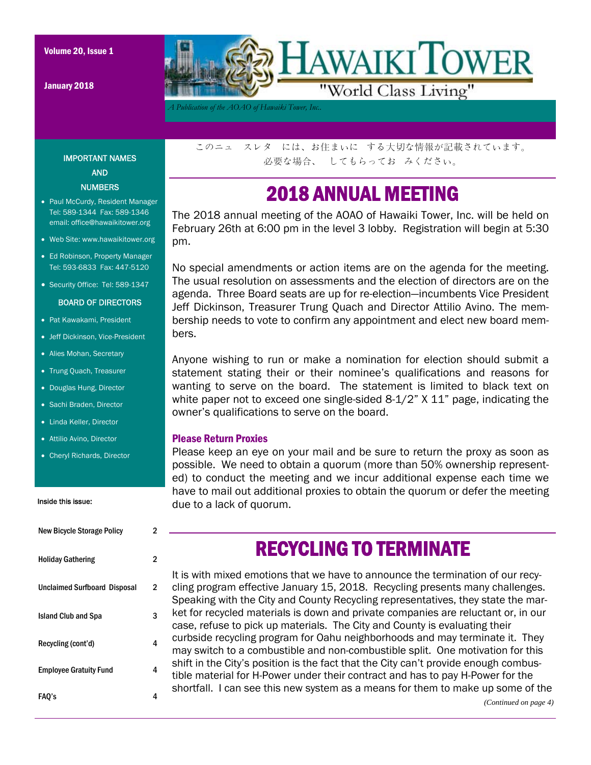January 2018



*A Publication of the AOAO of Hawaiki Tower, Inc..* 

IMPORTANT NAMES AND **NUMBERS** 

- Paul McCurdy, Resident Manager Tel: 589-1344 Fax: 589-1346 email: office@hawaikitower.org
- Web Site: www.hawaikitower.org
- Ed Robinson, Property Manager Tel: 593-6833 Fax: 447-5120
- Security Office: Tel: 589-1347

#### BOARD OF DIRECTORS

- Pat Kawakami, President
- Jeff Dickinson, Vice-President
- Alies Mohan, Secretary
- Trung Quach, Treasurer
- Douglas Hung, Director
- Sachi Braden, Director
- Linda Keller, Director
- Attilio Avino, Director
- Cheryl Richards, Director

#### Inside this issue:

| <b>New Bicycle Storage Policy</b>   | 2 |
|-------------------------------------|---|
| <b>Holiday Gathering</b>            | 2 |
| <b>Unclaimed Surfboard Disposal</b> | 2 |
| <b>Island Club and Spa</b>          | 3 |
| Recycling (cont'd)                  | 4 |
| <b>Employee Gratuity Fund</b>       | 4 |
| FAO's                               | 4 |

このニュ スレタ には、お住まいに する大切な情報が記載されています。 必要な場合、 してもらってお みください。

## 2018 ANNUAL MEETING

The 2018 annual meeting of the AOAO of Hawaiki Tower, Inc. will be held on February 26th at 6:00 pm in the level 3 lobby. Registration will begin at 5:30 pm.

No special amendments or action items are on the agenda for the meeting. The usual resolution on assessments and the election of directors are on the agenda. Three Board seats are up for re-election—incumbents Vice President Jeff Dickinson, Treasurer Trung Quach and Director Attilio Avino. The membership needs to vote to confirm any appointment and elect new board members.

Anyone wishing to run or make a nomination for election should submit a statement stating their or their nominee's qualifications and reasons for wanting to serve on the board. The statement is limited to black text on white paper not to exceed one single-sided 8-1/2" X 11" page, indicating the owner's qualifications to serve on the board.

#### Please Return Proxies

Please keep an eye on your mail and be sure to return the proxy as soon as possible. We need to obtain a quorum (more than 50% ownership represented) to conduct the meeting and we incur additional expense each time we have to mail out additional proxies to obtain the quorum or defer the meeting due to a lack of quorum.

### It is with mixed emotions that we have to announce the termination of our recy-RECYCLING TO TERMINATE

cling program effective January 15, 2018. Recycling presents many challenges. Speaking with the City and County Recycling representatives, they state the market for recycled materials is down and private companies are reluctant or, in our case, refuse to pick up materials. The City and County is evaluating their curbside recycling program for Oahu neighborhoods and may terminate it. They may switch to a combustible and non-combustible split. One motivation for this shift in the City's position is the fact that the City can't provide enough combustible material for H-Power under their contract and has to pay H-Power for the shortfall. I can see this new system as a means for them to make up some of the *(Continued on page 4)*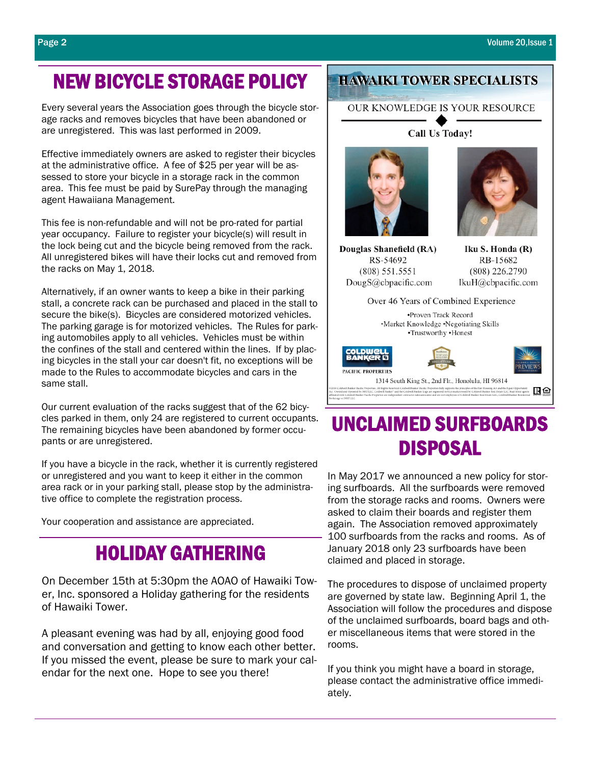# NEW BICYCLE STORAGE POLICY

Every several years the Association goes through the bicycle storage racks and removes bicycles that have been abandoned or are unregistered. This was last performed in 2009.

Effective immediately owners are asked to register their bicycles at the administrative office. A fee of \$25 per year will be assessed to store your bicycle in a storage rack in the common area. This fee must be paid by SurePay through the managing agent Hawaiiana Management.

This fee is non-refundable and will not be pro-rated for partial year occupancy. Failure to register your bicycle(s) will result in the lock being cut and the bicycle being removed from the rack. All unregistered bikes will have their locks cut and removed from the racks on May 1, 2018.

Alternatively, if an owner wants to keep a bike in their parking stall, a concrete rack can be purchased and placed in the stall to secure the bike(s). Bicycles are considered motorized vehicles. The parking garage is for motorized vehicles. The Rules for parking automobiles apply to all vehicles. Vehicles must be within the confines of the stall and centered within the lines. If by placing bicycles in the stall your car doesn't fit, no exceptions will be made to the Rules to accommodate bicycles and cars in the same stall.

Our current evaluation of the racks suggest that of the 62 bicycles parked in them, only 24 are registered to current occupants. The remaining bicycles have been abandoned by former occupants or are unregistered.

If you have a bicycle in the rack, whether it is currently registered or unregistered and you want to keep it either in the common area rack or in your parking stall, please stop by the administrative office to complete the registration process.

Your cooperation and assistance are appreciated.

## HOLIDAY GATHERING

On December 15th at 5:30pm the AOAO of Hawaiki Tower, Inc. sponsored a Holiday gathering for the residents of Hawaiki Tower.

A pleasant evening was had by all, enjoying good food and conversation and getting to know each other better. If you missed the event, please be sure to mark your calendar for the next one. Hope to see you there!

### **HAWAIKI TOWER SPECIALISTS**

OUR KNOWLEDGE IS YOUR RESOURCE

Call Us Today!



Douglas Shanefield (RA) RS-54692  $(808) 551.5551$ DougS@cbpacific.com

Iku S. Honda (R) RB-15682 (808) 226.2790 IkuH@cbpacific.com

| Over 46 Years of Combined Experience                                                                                                                                                                                                                                                                                                                                                                                                                                                                                                                 |
|------------------------------------------------------------------------------------------------------------------------------------------------------------------------------------------------------------------------------------------------------------------------------------------------------------------------------------------------------------------------------------------------------------------------------------------------------------------------------------------------------------------------------------------------------|
| •Proven Track Record<br>•Market Knowledge •Negotiating Skills<br>•Trustworthy •Honest                                                                                                                                                                                                                                                                                                                                                                                                                                                                |
| <b>COLDWELL</b><br>BANKER<br><b>PACIFIC PROPERTIES</b>                                                                                                                                                                                                                                                                                                                                                                                                                                                                                               |
| 1314 South King St., 2nd Flr., Honolulu, HI 96814                                                                                                                                                                                                                                                                                                                                                                                                                                                                                                    |
| (2016 Coldwall Banker Pacific Properties, All Rights Reserved, Coldwell Banker Pacific Properties fully supports the principles of the Fair Housing Act and the Equal Opportunity<br>ict. Owned and Operated by NRT LLC. Coldwell Banker' and the Coldwell Banker Logo are registered service marks owned by Coldwell Banker Real Estate LLC. Real estate agents<br>ffünted with Coldwell Banker Pacific Properties are independent contractor sales associates and are not employees of Coldwell Banker Real Banker LLC, Coldwell Banker Realerstal |

# UNCLAIMED SURFBOARDS DISPOSAL

In May 2017 we announced a new policy for storing surfboards. All the surfboards were removed from the storage racks and rooms. Owners were asked to claim their boards and register them again. The Association removed approximately 100 surfboards from the racks and rooms. As of January 2018 only 23 surfboards have been claimed and placed in storage.

The procedures to dispose of unclaimed property are governed by state law. Beginning April 1, the Association will follow the procedures and dispose of the unclaimed surfboards, board bags and other miscellaneous items that were stored in the rooms.

If you think you might have a board in storage, please contact the administrative office immediately.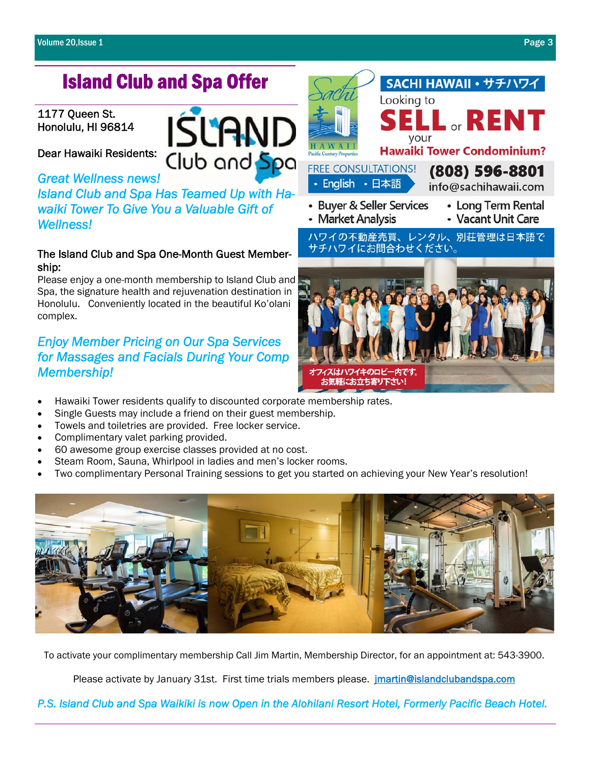# Island Club and Spa Offer

#### 1177 Queen St. Honolulu, HI 96814

Dear Hawaiki Residents:

*Great Wellness news! Island Club and Spa Has Teamed Up with Hawaiki Tower To Give You a Valuable Gift of Wellness!* 

### The Island Club and Spa One-Month Guest Membership:

Please enjoy a one-month membership to Island Club and Spa, the signature health and rejuvenation destination in Honolulu. Conveniently located in the beautiful Ko'olani complex.

### *Enjoy Member Pricing on Our Spa Services for Massages and Facials During Your Comp Membership!*

- Hawaiki Tower residents qualify to discounted corporate membership rates.
- Single Guests may include a friend on their guest membership.
- Towels and toiletries are provided. Free locker service.
- Complimentary valet parking provided.
- 60 awesome group exercise classes provided at no cost.
- Steam Room, Sauna, Whirlpool in ladies and men's locker rooms.
- Two complimentary Personal Training sessions to get you started on achieving your New Year's resolution!



To activate your complimentary membership Call Jim Martin, Membership Director, for an appointment at: 543-3900.

Please activate by January 31st. First time trials members please. *jmartin@islandclubandspa.com* 

*P.S. Island Club and Spa Waikiki is now Open in the Alohilani Resort Hotel, Formerly Pacific Beach Hotel.* 



Club and Spa





**FREE CONSULTATIONS!** · English · 日本語

- (808) 596-8801
- info@sachihawaii.com
- Buyer & Seller Services • Market Analysis
- Long Term Rental
- Vacant Unit Care

ハワイの不動産売買、レンタル、別荘管理は日本語で サチハワイにお問合わせください。